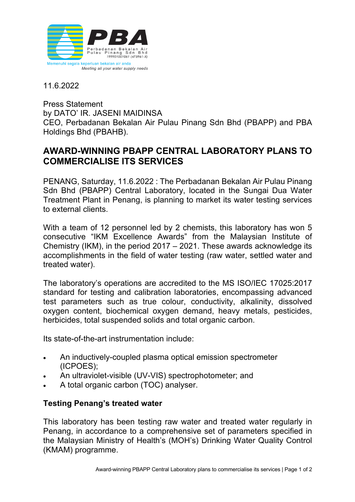

11.6.2022

Press Statement by DATO' IR. JASENI MAIDINSA CEO, Perbadanan Bekalan Air Pulau Pinang Sdn Bhd (PBAPP) and PBA Holdings Bhd (PBAHB).

## **AWARD-WINNING PBAPP CENTRAL LABORATORY PLANS TO COMMERCIALISE ITS SERVICES**

PENANG, Saturday, 11.6.2022 : The Perbadanan Bekalan Air Pulau Pinang Sdn Bhd (PBAPP) Central Laboratory, located in the Sungai Dua Water Treatment Plant in Penang, is planning to market its water testing services to external clients.

With a team of 12 personnel led by 2 chemists, this laboratory has won 5 consecutive "IKM Excellence Awards" from the Malaysian Institute of Chemistry (IKM), in the period 2017 – 2021. These awards acknowledge its accomplishments in the field of water testing (raw water, settled water and treated water).

The laboratory's operations are accredited to the MS ISO/IEC 17025:2017 standard for testing and calibration laboratories, encompassing advanced test parameters such as true colour, conductivity, alkalinity, dissolved oxygen content, biochemical oxygen demand, heavy metals, pesticides, herbicides, total suspended solids and total organic carbon.

Its state-of-the-art instrumentation include:

- An inductively-coupled plasma optical emission spectrometer (ICPOES);
- An ultraviolet-visible (UV-VIS) spectrophotometer; and
- A total organic carbon (TOC) analyser.

## **Testing Penang's treated water**

This laboratory has been testing raw water and treated water regularly in Penang, in accordance to a comprehensive set of parameters specified in the Malaysian Ministry of Health's (MOH's) Drinking Water Quality Control (KMAM) programme.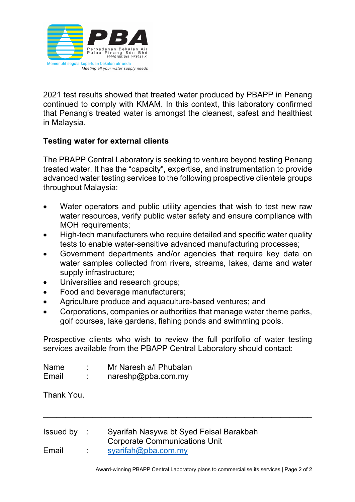

2021 test results showed that treated water produced by PBAPP in Penang continued to comply with KMAM. In this context, this laboratory confirmed that Penang's treated water is amongst the cleanest, safest and healthiest in Malaysia.

## **Testing water for external clients**

The PBAPP Central Laboratory is seeking to venture beyond testing Penang treated water. It has the "capacity", expertise, and instrumentation to provide advanced water testing services to the following prospective clientele groups throughout Malaysia:

- Water operators and public utility agencies that wish to test new raw water resources, verify public water safety and ensure compliance with MOH requirements:
- High-tech manufacturers who require detailed and specific water quality tests to enable water-sensitive advanced manufacturing processes;
- Government departments and/or agencies that require key data on water samples collected from rivers, streams, lakes, dams and water supply infrastructure;
- Universities and research groups;
- Food and beverage manufacturers;
- Agriculture produce and aquaculture-based ventures; and
- Corporations, companies or authorities that manage water theme parks, golf courses, lake gardens, fishing ponds and swimming pools.

Prospective clients who wish to review the full portfolio of water testing services available from the PBAPP Central Laboratory should contact:

 $\overline{a}$ 

| <b>Name</b> | Mr Naresh a/l Phubalan |
|-------------|------------------------|
| Email       | nareshp@pba.com.my     |

Thank You.

| Issued by |    | Syarifah Nasywa bt Syed Feisal Barakbah<br><b>Corporate Communications Unit</b> |  |
|-----------|----|---------------------------------------------------------------------------------|--|
| Email     | л. | syarifah@pba.com(my                                                             |  |